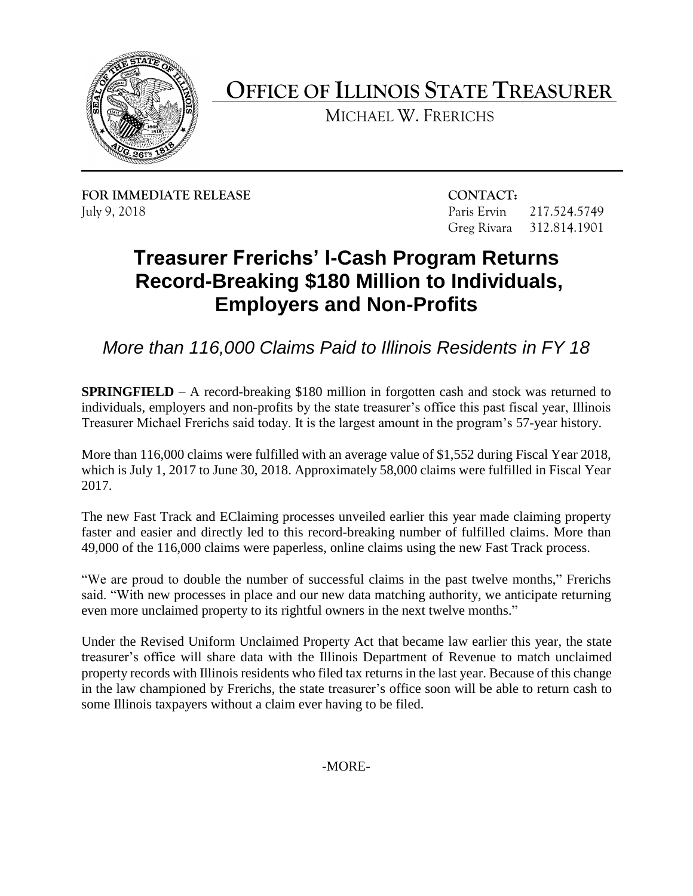

**OFFICE OF ILLINOIS STATE TREASURER** 

MICHAEL W. FRERICHS

**FOR IMMEDIATE RELEASE CONTACT:**  July 9, 2018 Paris Ervin 217.524.5749

Greg Rivara 312.814.1901

## **Treasurer Frerichs' I-Cash Program Returns Record-Breaking \$180 Million to Individuals, Employers and Non-Profits**

*More than 116,000 Claims Paid to Illinois Residents in FY 18* 

 individuals, employers and non-profits by the state treasurer's office this past fiscal year, Illinois **SPRINGFIELD** – A record-breaking \$180 million in forgotten cash and stock was returned to Treasurer Michael Frerichs said today. It is the largest amount in the program's 57-year history.

 More than 116,000 claims were fulfilled with an average value of \$1,552 during Fiscal Year 2018, which is July 1, 2017 to June 30, 2018. Approximately 58,000 claims were fulfilled in Fiscal Year 2017.

 The new Fast Track and EClaiming processes unveiled earlier this year made claiming property faster and easier and directly led to this record-breaking number of fulfilled claims. More than 49,000 of the 116,000 claims were paperless, online claims using the new Fast Track process.

 "We are proud to double the number of successful claims in the past twelve months," Frerichs said. "With new processes in place and our new data matching authority, we anticipate returning even more unclaimed property to its rightful owners in the next twelve months."

 Under the Revised Uniform Unclaimed Property Act that became law earlier this year, the state in the law championed by Frerichs, the state treasurer's office soon will be able to return cash to treasurer's office will share data with the Illinois Department of Revenue to match unclaimed property records with Illinois residents who filed tax returns in the last year. Because of this change some Illinois taxpayers without a claim ever having to be filed.

-MORE-